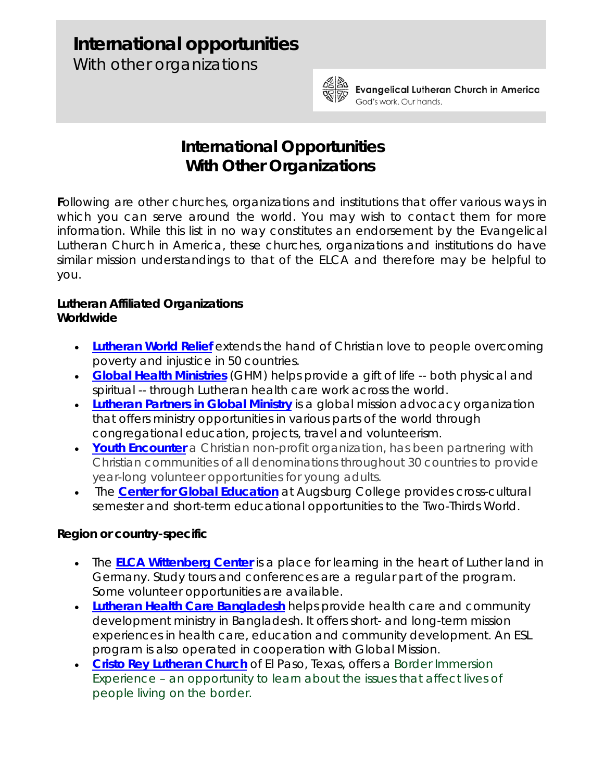# **International opportunities**

With other organizations



Evangelical Lutheran Church in America God's work, Our hands,

# **International Opportunities With Other Organizations**

**F**ollowing are other churches, organizations and institutions that offer various ways in which you can serve around the world. You may wish to contact them for more information. While this list in no way constitutes an endorsement by the Evangelical Lutheran Church in America, these churches, organizations and institutions do have similar mission understandings to that of the ELCA and therefore may be helpful to you.

## **Lutheran Affiliated Organizations** *Worldwide*

- **[Lutheran World Relief](http://www.lwr.org/index.asp)** extends the hand of Christian love to people overcoming poverty and injustice in 50 countries.
- **[Global Health Ministries](http://www.ghm.org/)** (GHM) helps provide a gift of life -- both physical and spiritual -- through Lutheran health care work across the world.
- **[Lutheran Partners in Global Ministry](http://www.lutheranpartners.org/)** is a global mission advocacy organization that offers ministry opportunities in various parts of the world through congregational education, projects, travel and volunteerism.
- **[Youth Encounter](http://www.youthencounter.org/)** a Christian non-profit organization, has been partnering with Christian communities of all denominations throughout 30 countries to provide year-long volunteer opportunities for young adults.
- The **[Center for Global Education](http://www.augsburg.edu/global)** at Augsburg College provides cross-cultural semester and short-term educational opportunities to the Two-Thirds World.

## *Region or country-specific*

- The **[ELCA Wittenberg Center](http://www.elca.org/Who-We-Are/Our-Three-Expressions/Churchwide-Organization/Global-Mission/Where-We-Work/Europe-Middle-East/Germany/ELCA-Wittenberg-Center.aspx)** is a place for learning in the heart of Luther land in Germany. Study tours and conferences are a regular part of the program. Some volunteer opportunities are available.
- **[Lutheran Health Care Bangladesh](http://lhcb.org/)** helps provide health care and community development ministry in Bangladesh. It offers short- and long-term mission experiences in health care, education and community development. An ESL program is also operated in cooperation with Global Mission.
- **[Cristo Rey Lutheran Church](http://borderimmersion.webs.com/cristorey.htm)** of El Paso, Texas, offers a Border Immersion Experience – an opportunity to learn about the issues that affect lives of people living on the border.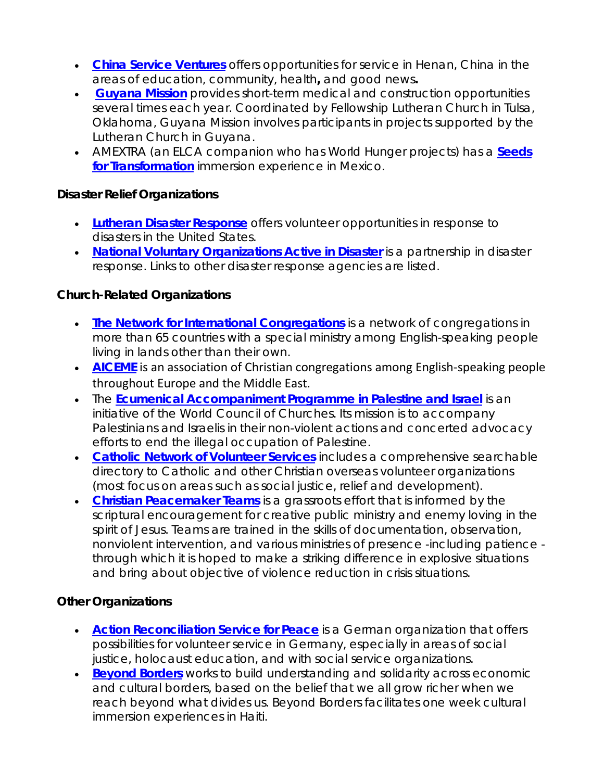- **[China Service Ventures](http://chinaserviceventures.org/index.php)** offers opportunities for service in Henan, China in the areas of education, community, health**,** and good news**.**
- **[Guyana Mission](http://www.flctulsa.org/pages/missions)** provides short-term medical and construction opportunities several times each year. Coordinated by Fellowship Lutheran Church in Tulsa, Oklahoma, Guyana Mission involves participants in projects supported by the Lutheran Church in Guyana.
- AMEXTRA (an ELCA companion who has World Hunger projects) has a **[Seeds](http://seedsoftransformation.org/)  [for Transformation](http://seedsoftransformation.org/)** immersion experience in Mexico.

#### **Disaster Relief Organizations**

- **[Lutheran Disaster Response](http://www.ldr.org/)** offers volunteer opportunities in response to disasters in the United States.
- **[National Voluntary Organizations Active in Disaster](http://www.nvoad.org/)** is a partnership in disaster response. Links to other disaster response agencies are listed.

#### **Church-Related Organizations**

- **[The Network for International Congregations](http://www.internationalcongregations.net/)** is a network of congregations in more than 65 countries with a special ministry among English-speaking people living in lands other than their own.
- **[AICEME](http://aiceme.net/)** is an association of Christian congregations among English-speaking people throughout Europe and the Middle East.
- The **[Ecumenical Accompaniment Programme in Palestine and Israel](http://www.eappi-us.org/)** is an initiative of the World Council of Churches. Its mission is to accompany Palestinians and Israelis in their non-violent actions and concerted advocacy efforts to end the illegal occupation of Palestine.
- **[Catholic Network of Volunteer Services](http://www.cnvs.org/)** includes a comprehensive searchable directory to Catholic and other Christian overseas volunteer organizations (most focus on areas such as social justice, relief and development).
- **[Christian Peacemaker Teams](http://www.cpt.org/)** is a grassroots effort that is informed by the scriptural encouragement for creative public ministry and enemy loving in the spirit of Jesus. Teams are trained in the skills of documentation, observation, nonviolent intervention, and various ministries of presence -including patience through which it is hoped to make a striking difference in explosive situations and bring about objective of violence reduction in crisis situations.

#### **Other Organizations**

- **[Action Reconciliation Service for Peace](http://www.asf-ev.de/usa/)** is a German organization that offers possibilities for volunteer service in Germany, especially in areas of social justice, holocaust education, and with social service organizations.
- **[Beyond Borders](http://www.beyondborders.net/)** works to build understanding and solidarity across economic and cultural borders, based on the belief that we all grow richer when we reach beyond what divides us. Beyond Borders facilitates one week cultural immersion experiences in Haiti.